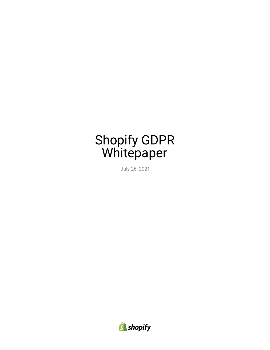# Shopify GDPR Whitepaper

July 26, 2021

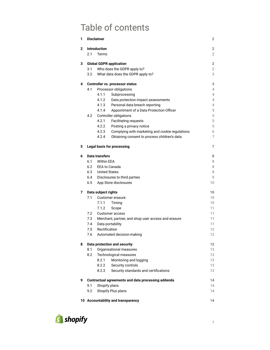# Table of contents

| 1            |     | <b>Disclaimer</b>                                        | $\overline{2}$ |
|--------------|-----|----------------------------------------------------------|----------------|
| $\mathbf{2}$ |     | <b>Introduction</b>                                      | $\overline{2}$ |
|              | 2.1 | Terms                                                    | $\overline{2}$ |
| 3            |     | <b>Global GDPR application</b>                           | $\overline{2}$ |
|              | 3.1 | Who does the GDPR apply to?                              | 2              |
|              | 3.2 | What data does the GDPR apply to?                        | 3              |
| 4            |     | Controller vs. processor status                          | 3              |
|              | 4.1 | Processor obligations                                    | 4              |
|              |     | 4.1.1<br>Subprocessing                                   | 4              |
|              |     | 4.1.2<br>Data protection impact assessments              | 4              |
|              |     | 4.1.3<br>Personal data breach reporting                  | 4              |
|              |     | 4.1.4<br>Appointment of a Data Protection Officer        | 5              |
|              | 4.2 | Controller obligations                                   | 5              |
|              |     | 4.2.1<br><b>Facilitating requests</b>                    | 5              |
|              |     | 4.2.2<br>Posting a privacy notice                        | 5              |
|              |     | 4.2.3<br>Complying with marketing and cookie regulations | 6              |
|              |     | 4.2.4<br>Obtaining consent to process children's data    | $\overline{7}$ |
|              |     |                                                          |                |
| 5            |     | Legal basis for processing                               | 7              |
| 6            |     | Data transfers                                           | 8              |
|              | 6.1 | <b>Within EEA</b>                                        | 8              |
|              | 6.2 | EEA to Canada                                            | 8              |
|              | 6.3 | <b>United States</b>                                     | 8              |
|              | 6.4 | Disclosures to third parties                             | 9              |
|              | 6.5 | App Store disclosures                                    | 10             |
| 7            |     | Data subject rights                                      | 10             |
|              | 7.1 | Customer erasure                                         | 10             |
|              |     | 7.1.1<br>Timing                                          | 10             |
|              |     | 7.1.2<br>Scope                                           | 11             |
|              | 7.2 | <b>Customer access</b>                                   | 11             |
|              | 7.3 | Merchant, partner, and shop user access and erasure      | 11             |
|              | 7.4 | Data portability                                         | 11             |
|              | 7.5 | Rectification                                            | 12             |
|              | 7.6 | Automated decision-making                                | 12             |
| 8            |     | Data protection and security                             | 12             |
|              | 8.1 | Organisational measures                                  | 13             |
|              | 8.2 | <b>Technological measures</b>                            | 13             |
|              |     | Monitoring and logging<br>8.2.1                          | 13             |
|              |     | 8.2.2<br>Security controls                               | 13             |
|              |     | 8.2.3<br>Security standards and certifications           | 13             |
| 9            |     | Contractual agreements and data processing addenda       | 14             |
|              | 9.1 | Shopify plans                                            | 14             |
|              | 9.2 | Shopify Plus plans                                       | 14             |
|              |     | 10 Accountability and transparency                       | 14             |

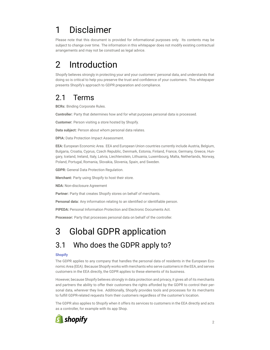# <span id="page-2-0"></span>1 Disclaimer

Please note that this document is provided for informational purposes only. Its contents may be subject to change over time. The information in this whitepaper does not modify existing contractual arrangements and may not be construed as legal advice.

# <span id="page-2-1"></span>2 Introduction

Shopify believes strongly in protecting your and your customers' personal data, and understands that doing so is critical to help you preserve the trust and confidence of your customers. This whitepaper presents Shopify's approach to GDPR preparation and compliance.

### <span id="page-2-2"></span>2.1 Terms

**BCRs:** Binding Corporate Rules.

**Controller:** Party that determines how and for what purposes personal data is processed.

**Customer:** Person visiting a store hosted by Shopify.

**Data subject:** Person about whom personal data relates.

**DPIA:** Data Protection Impact Assessment.

**EEA:** European Economic Area. EEA and European Union countries currently include Austria, Belgium, Bulgaria, Croatia, Cyprus, Czech Republic, Denmark, Estonia, Finland, France, Germany, Greece, Hungary, Iceland, Ireland, Italy, Latvia, Liechtenstein, Lithuania, Luxembourg, Malta, Netherlands, Norway, Poland, Portugal, Romania, Slovakia, Slovenia, Spain, and Sweden.

**GDPR:** General Data Protection Regulation.

**Merchant:** Party using Shopify to host their store.

**NDA:** Non-disclosure Agreement

**Partner:** Party that creates Shopify stores on behalf of merchants.

**Personal data:** Any information relating to an identified or identifiable person.

**PIPEDA:** Personal Information Protection and Electronic Documents Act.

<span id="page-2-3"></span>**Processor:** Party that processes personal data on behalf of the controller.

# 3 Global GDPR application

### <span id="page-2-4"></span>3.1 Who does the GDPR apply to?

#### **Shopify**

The GDPR applies to any company that handles the personal data of residents in the European Economic Area (EEA). Because Shopify works with merchants who serve customers in the EEA, and serves customers in the EEA directly, the GDPR applies to these elements of its business.

However, because Shopify believes strongly in data protection and privacy, it gives all of its merchants and partners the ability to offer their customers the rights afforded by the GDPR to control their personal data, wherever they live. Additionally, Shopify provides tools and processes for its merchants to fulfill GDPR-related requests from their customers regardless of the customer's location.

The GDPR also applies to Shopify when it offers its services to customers in the EEA directly and acts as a controller, for example with its app Shop.

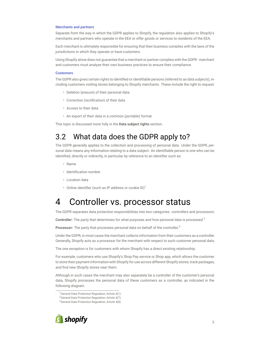#### **Merchants and partners**

Separate from the way in which the GDPR applies to Shopify, the regulation also applies to Shopify's merchants and partners who operate in the EEA or offer goods or services to residents of the EEA.

Each merchant is ultimately responsible for ensuring that their business complies with the laws of the jurisdictions in which they operate or have customers.

Using Shopify alone does not guarantee that a merchant or partner complies with the GDPR - merchant and customers must analyse their own business practices to ensure their compliance.

#### **Customers**

The GDPR also gives certain rights to identified or identifiable persons (referred to as *data subjects*), including customers visiting stores belonging to Shopify merchants. These include the right to request:

- Deletion (*erasure*) of their personal data
- Correction (*rectification*) of their data
- Access to their data
- An export of their data in a common (*portable*) format

<span id="page-3-0"></span>This topic is discussed more fully in the **Data subject rights** section.

### 3.2 What data does the GDPR apply to?

The GDPR generally applies to the collection and processing of personal data. Under the GDPR, *personal data* means any information relating to a data subject. An identifiable person is one who can be identified, directly or indirectly, in particular by reference to an identifier such as:

- Name
- Identification number
- Location data
- Online identifier (such as IP address or cookie ID)<sup>1</sup>

## <span id="page-3-1"></span>4 Controller vs. processor status

The GDPR separates data protection responsibilities into two categories: controllers and processors.

**Controller:** The party that determines for what purposes and how personal data is processed.<sup>2</sup>

**Processor:** The party that processes personal data on behalf of the controller.<sup>3</sup>

Under the GDPR, in most cases the merchant collects information from their customers as a controller. Generally, Shopify acts as a processor for the merchant with respect to such customer personal data.

The one exception is for customers with whom Shopify has a direct existing relationship.

For example, customers who use Shopify's Shop Pay service or Shop app, which allows the customer to store their payment information with Shopify for use across different Shopify stores, track packages, and find new Shopify stores near them.

Although in such cases the merchant may also separately be a controller of the customer's personal data, Shopify processes the personal data of these customers as a controller, as indicated in the following diagram.

 $3$ General Data Protection Regulation, Article 4(8).



<sup>&</sup>lt;sup>1</sup> General Data Protection Regulation, Article 4(1).

<sup>&</sup>lt;sup>2</sup> General Data Protection Regulation, Article  $4(7)$ .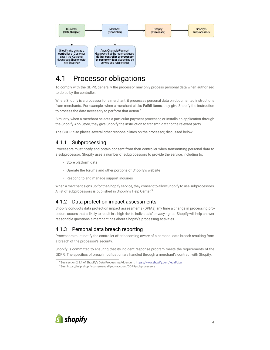

## <span id="page-4-0"></span>4.1 Processor obligations

To comply with the GDPR, generally the processor may only process personal data when authorised to do so by the controller.

Where Shopify is a processor for a merchant, it processes personal data on documented instructions from merchants. For example, when a merchant clicks **Fulfill items**, they give Shopify the instruction to process the data necessary to perform that action.<sup>4</sup>

Similarly, when a merchant selects a particular payment processor, or installs an application through the Shopify App Store, they give Shopify the instruction to transmit data to the relevant party.

<span id="page-4-1"></span>The GDPR also places several other responsibilities on the processor, discussed below:

#### 4.1.1 Subprocessing

Processors must notify and obtain consent from their controller when transmitting personal data to a subprocessor. Shopify uses a number of subprocessors to provide the service, including to:

- Store platform data
- Operate the forums and other portions of Shopify's website
- Respond to and manage support inquiries

When a merchant signs up for the Shopify service, they consent to allow Shopify to use subprocessors. A list of subprocessors is published in Shopify's Help Center.<sup>5</sup>

#### <span id="page-4-2"></span>4.1.2 Data protection impact assessments

Shopify conducts data protection impact assessments (DPIAs) any time a change in processing procedure occurs that is likely to result in a high risk to individuals' privacy rights. Shopify will help answer reasonable questions a merchant has about Shopify's processing activities.

#### <span id="page-4-3"></span>4.1.3 Personal data breach reporting

Processors must notify the controller after becoming aware of a personal data breach resulting from a breach of the processor's security.

Shopify is committed to ensuring that its incident response program meets the requirements of the GDPR. The specifics of breach notification are handled through a merchant's contract with Shopify.



<span id="page-4-4"></span><sup>&</sup>lt;sup>4</sup>See section 2.2.1 of Shopify's Data Processing Addendum: <https://www.shopify.com/legal/dpa>

<sup>5</sup>See: https://help.shopify.com/manual/your-account/GDPR/subprocessors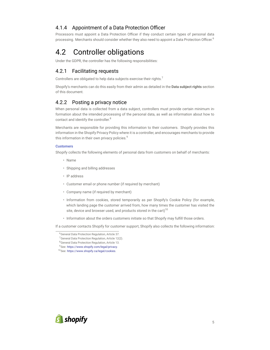#### 4.1.4 Appointment of a Data Protection Officer

Processors must appoint a Data Protection Officer if they conduct certain types of personal data processing. Merchants should consider whether they also need to appoint a Data Protection Officer.<sup>6</sup>

### <span id="page-5-0"></span>4.2 Controller obligations

<span id="page-5-1"></span>Under the GDPR, the controller has the following responsibilities:

#### 4.2.1 Facilitating requests

Controllers are obligated to help data subjects exercise their rights. $^7$ 

Shopify's merchants can do this easily from their admin as detailed in the **Data subject rights** section of this document.

#### <span id="page-5-2"></span>4.2.2 Posting a privacy notice

When personal data is collected from a data subject, controllers must provide certain minimum information about the intended processing of the personal data, as well as information about how to contact and identify the controller.<sup>8</sup>

Merchants are responsible for providing this information to their customers. Shopify provides this information in the Shopify Privacy Policy where it is a controller, and encourages merchants to provide this information in their own privacy policies.<sup>9</sup>

#### **Customers**

Shopify collects the following elements of personal data from customers on behalf of merchants:

- Name
- Shipping and billing addresses
- IP address
- Customer email or phone number (if required by merchant)
- Company name (if required by merchant)
- Information from cookies, stored temporarily as per Shopify's Cookie Policy (for example, which landing page the customer arrived from, how many times the customer has visited the site, device and browser used, and products stored in the cart) $10$
- Information about the orders customers initiate so that Shopify may fulfill those orders.

If a customer contacts Shopify for customer support, Shopify also collects the following information:

 $7$ General Data Protection Regulation, Article 12(2).



<sup>&</sup>lt;sup>6</sup> General Data Protection Regulation, Article 37.

<sup>8</sup>General Data Protection Regulation, Article 13.

<sup>&</sup>lt;sup>9</sup>See: [https://www.shopify.com/legal/privacy.](https://www.shopify.com/legal/privacy)

<sup>10</sup>See: [https://www.shopify.ca/legal/cookies.](https://www.shopify.ca/legal/cookies)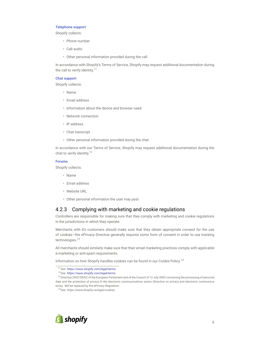#### **Telephone support**

Shopify collects:

- Phone number
- Call audio
- Other personal information provided during the call

In accordance with Shopify's Terms of Service, Shopify may request additional documentation during the call to verify identity.<sup>11</sup>

#### **Chat support**

Shopify collects:

- Name
- Email address
- Information about the device and browser used
- Network connection
- IP address
- Chat transcript
- Other personal information provided during the chat

In accordance with our Terms of Service, Shopify may request additional documentation during the chat to verify identity.<sup>12</sup>

#### **Forums**

Shopify collects:

- Name
- Email address
- Website URL
- Other personal information the user may post

#### <span id="page-6-0"></span>4.2.3 Complying with marketing and cookie regulations

Controllers are responsible for making sure that they comply with marketing and cookie regulations in the jurisdictions in which they operate.

Merchants with EU customers should make sure that they obtain appropriate consent for the use of cookies—the ePrivacy Directive generally requires some form of consent in order to use tracking technologies.<sup>13</sup>

All merchants should similarly make sure that their email marketing practices comply with applicable e-marketing or anti-spam requirements.

Information on how Shopify handles cookies can be found in our Cookie Policy.<sup>14</sup>



<span id="page-6-1"></span><sup>11</sup>See: [https://www.shopify.com/legal/terms.](https://www.shopify.com/legal/terms)

<sup>12</sup>See: [https://www.shopify.com/legal/terms.](https://www.shopify.com/legal/terms)

<sup>&</sup>lt;sup>13</sup> Directive 2002/58/EC of the European Parliament and of the Council of 12 July 2002 concerning the processing of personal data and the protection of privacy in the electronic communications sector (Directive on privacy and electronic communications). Will be replaced by the ePrivacy Regulation.

<sup>14</sup>See: https://www.shopify.ca/legal/cookies.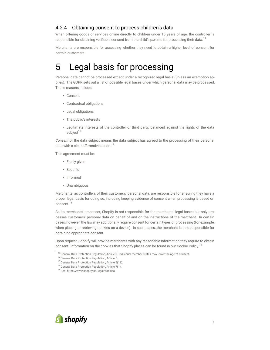#### 4.2.4 Obtaining consent to process children's data

When offering goods or services online directly to children under 16 years of age, the controller is responsible for obtaining verifiable consent from the child's parents for processing their data.<sup>15</sup>

<span id="page-7-0"></span>Merchants are responsible for assessing whether they need to obtain a higher level of consent for certain customers.

## 5 Legal basis for processing

Personal data cannot be processed except under a recognized legal basis (unless an exemption applies). The GDPR sets out a list of possible legal bases under which personal data may be processed. These reasons include:

- Consent
- Contractual obligations
- Legal obligations
- The public's interests
- Legitimate interests of the controller or third party, balanced against the rights of the data subject<sup>16</sup>

*Consent* of the data subject means the data subject has agreed to the processing of their personal data with a clear affirmative action.<sup>17</sup>

This agreement must be:

- Freely given
- Specific
- Informed
- Unambiguous

Merchants, as controllers of their customers' personal data, are responsible for ensuring they have a proper legal basis for doing so, including keeping evidence of consent when processing is based on consent.<sup>18</sup>

As its merchants' processor, Shopify is not responsible for the merchants' legal bases but only processes customers' personal data on behalf of and on the instructions of the merchant. In certain cases, however, the law may additionally require consent for certain types of processing (for example, when placing or retrieving cookies on a device). In such cases, the merchant is also responsible for obtaining appropriate consent.

Upon request, Shopify will provide merchants with any reasonable information they require to obtain consent. Information on the cookies that Shopify places can be found in our Cookie Policy.<sup>19</sup>



<span id="page-7-1"></span> $15$ General Data Protection Regulation, Article 8. Individual member states may lower the age of consent.

<sup>&</sup>lt;sup>16</sup> General Data Protection Regulation, Article 6.

<sup>&</sup>lt;sup>17</sup> General Data Protection Regulation, Article 4(11)

<sup>18</sup> General Data Protection Regulation, Article 7(1).

<sup>19</sup> See: https://www.shopify.ca/legal/cookies.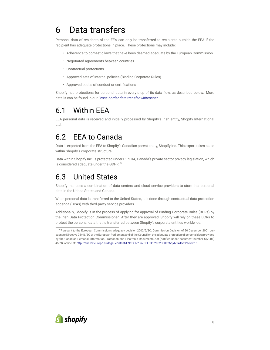## 6 Data transfers

Personal data of residents of the EEA can only be transferred to recipients outside the EEA if the recipient has adequate protections in place. These protections may include:

- Adherence to domestic laws that have been deemed adequate by the European Commission
- Negotiated agreements between countries
- Contractual protections
- Approved sets of internal policies (Binding Corporate Rules)
- Approved codes of conduct or certifications

Shopify has protections for personal data in every step of its data flow, as described below. More details can be found in our *[Cross-border data transfer whitepaper](https://help.shopify.com/en/manual/your-account/privacy/GDPR/cross-border-data)*.

### <span id="page-8-0"></span>6.1 Within EEA

EEA personal data is received and initially processed by Shopify's Irish entity, Shopify International Ltd.

## <span id="page-8-1"></span>6.2 EEA to Canada

Data is exported from the EEA to Shopify's Canadian parent entity, Shopify Inc. This export takes place within Shopify's corporate structure.

Data within Shopify Inc. is protected under PIPEDA, Canada's private sector privacy legislation, which is considered adequate under the GDPR.<sup>20</sup>

### <span id="page-8-2"></span>6.3 United States

Shopify Inc. uses a combination of data centers and cloud service providers to store this personal data in the United States and Canada.

When personal data is transferred to the United States, it is done through contractual data protection addenda (DPAs) with third-party service providers.

Additionally, Shopify is in the process of applying for approval of Binding Corporate Rules (BCRs) by the Irish Data Protection Commissioner. After they are approved, Shopify will rely on these BCRs to protect the personal data that is transferred between Shopify's corporate entities worldwide.



<span id="page-8-3"></span> $20$ Pursuant to the European Commission's adequacy decision 2002/2/EC. Commission Decision of 20 December 2001 pursuant to Directive 95/46/EC of the European Parliament and of the Council on the adequate protection of personal data provided by the Canadian Personal Information Protection and Electronic Documents Act (notified under document number C(2001) 4539), online at: [http://eur-lex.europa.eu/legal-content/EN/TXT/?uri=CELEX:32002D0002&qid=1415699250815.](http://eur-lex.europa.eu/legal-content/EN/TXT/?uri=CELEX:32002D0002&qid=1415699250815)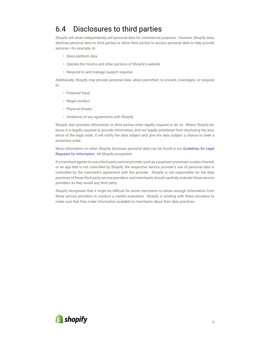### 6.4 Disclosures to third parties

Shopify will never independently sell personal data for commercial purposes. However, Shopify does disclose personal data to third parties or allow third parties to access personal data to help provide services—for example, to:

- Store platform data
- Operate the forums and other portions of Shopify's website
- Respond to and manage support inquiries

Additionally, Shopify may provide personal data, where permitted, to prevent, investigate, or respond to:

- Potential fraud
- Illegal conduct
- Physical threats
- Violations of any agreements with Shopify

Shopify also provides information to third parties when legally required to do so. Where Shopify believes it is legally required to provide information, and not legally prohibited from disclosing the existence of the legal order, it will notify the data subject and give the data subject a chance to seek a protective order.

More information on when Shopify discloses personal data can be found in our *[Guidelines for Legal](https://www.shopify.com/legal/gvtaccesspolicy) [Requests for Information](https://www.shopify.com/legal/gvtaccesspolicy)*. ## Shopify ecosystem

If a merchant agrees to use a third-party service provider such as a payment processor, a sales channel, or an app that is not controlled by Shopify, the respective service provider's use of personal data is controlled by the merchant's agreement with the provider. Shopify is not responsible for the data practices of these third-party service providers, and merchants should carefully evaluate these service providers as they would any third party.

<span id="page-9-0"></span>Shopify recognises that it might be difficult for some merchants to obtain enough information from these service providers to conduct a careful evaluation. Shopify is working with these providers to make sure that they make information available to merchants about their data practices.

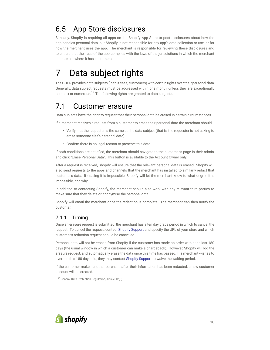## 6.5 App Store disclosures

Similarly, Shopify is requiring all apps on the Shopify App Store to post disclosures about how the app handles personal data, but Shopify is not responsible for any app's data collection or use, or for how the merchant uses the app. The merchant is responsible for reviewing these disclosures and to ensure that their use of the app complies with the laws of the jurisdictions in which the merchant operates or where it has customers.

## <span id="page-10-0"></span>7 Data subject rights

The GDPR provides data subjects (in this case, customers) with certain rights over their personal data. Generally, data subject requests must be addressed within one month, unless they are exceptionally complex or numerous. $^{21}$  The following rights are granted to data subjects.

### <span id="page-10-1"></span>7.1 Customer erasure

Data subjects have the right to request that their personal data be erased in certain circumstances.

If a merchant receives a request from a customer to erase their personal data the merchant should:

- Verify that the requester is the same as the data subject (that is, the requester is not asking to erase someone else's personal data)
- Confirm there is no legal reason to preserve this data

If both conditions are satisfied, the merchant should navigate to the customer's page in their admin, and click "Erase Personal Data". This button is available to the Account Owner only.

After a request is received, Shopify will ensure that the relevant personal data is erased. Shopify will also send requests to the apps and channels that the merchant has installed to similarly redact that customer's data. If erasing it is impossible, Shopify will let the merchant know to what degree it is impossible, and why.

In addition to contacting Shopify, the merchant should also work with any relevant third parties to make sure that they delete or anonymise the personal data.

Shopify will email the merchant once the redaction is complete. The merchant can then notify the customer.

### <span id="page-10-2"></span>7.1.1 Timing

Once an erasure request is submitted, the merchant has a ten day grace period in which to cancel the request. To cancel the request, contact [Shopify Support](https://help.shopify.com/en) and specify the URL of your store and which customer's redaction request should be cancelled.

Personal data will not be erased from Shopify if the customer has made an order within the last 180 days (the usual window in which a customer can make a chargeback). However, Shopify will log the erasure request, and automatically erase the data once this time has passed. If a merchant wishes to override this 180 day hold, they may contact [Shopify Support](https://help.shopify.com/en) to waive the waiting period.

If the customer makes another purchase after their information has been redacted, a new customer account will be created.



<span id="page-10-3"></span><sup>&</sup>lt;sup>21</sup> General Data Protection Regulation, Article 12(3).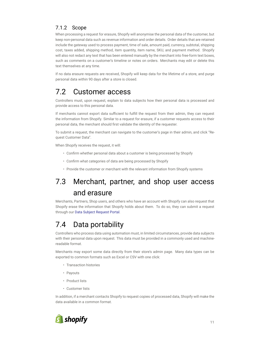#### 7.1.2 Scope

When processing a request for erasure, Shopify will anonymise the personal data of the customer, but keep non-personal data such as revenue information and order details. Order details that are retained include the gateway used to process payment, time of sale, amount paid, currency, subtotal, shipping cost, taxes added, shipping method, item quantity, item name, SKU, and payment method. Shopify will also not redact any text that has been entered manually by the merchant into free-form text boxes, such as comments on a customer's timeline or notes on orders. Merchants may edit or delete this text themselves at any time.

If no data erasure requests are received, Shopify will keep data for the lifetime of a store, and purge personal data within 90 days after a store is closed.

### <span id="page-11-0"></span>7.2 Customer access

Controllers must, upon request, explain to data subjects how their personal data is processed and provide access to this personal data.

If merchants cannot export data sufficient to fulfill the request from their admin, they can request the information from Shopify. Similar to a request for erasure, if a customer requests access to their personal data, the merchant should first validate the identity of the requester.

To submit a request, the merchant can navigate to the customer's page in their admin, and click "Request Customer Data".

When Shopify receives the request, it will:

- Confirm whether personal data about a customer is being processed by Shopify
- Confirm what categories of data are being processed by Shopify
- Provide the customer or merchant with the relevant information from Shopify systems

## <span id="page-11-1"></span>7.3 Merchant, partner, and shop user access and erasure

Merchants, Partners, Shop users, and others who have an account with Shopify can also request that Shopify erase the information that Shopify holds about them. To do so, they can submit a request through our [Data Subject Request Portal.](https://legal.shopify.com/templates/srr.html)

## <span id="page-11-2"></span>7.4 Data portability

Controllers who process data using automation must, in limited circumstances, provide data subjects with their personal data upon request. This data must be provided in a commonly used and machinereadable format.

Merchants may export some data directly from their store's admin page. Many data types can be exported to common formats such as Excel or CSV with one click:

- Transaction histories
- Payouts
- Product lists
- Customer lists

<span id="page-11-3"></span>In addition, if a merchant contacts Shopify to request copies of processed data, Shopify will make the data available in a common format.

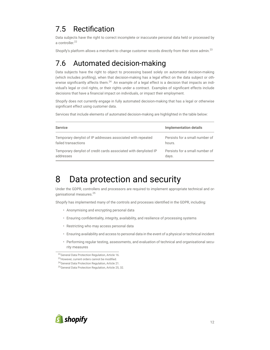### 7.5 Rectification

Data subjects have the right to correct incomplete or inaccurate personal data held or processed by a controller.<sup>22</sup>

<span id="page-12-0"></span>Shopify's platform allows a merchant to change customer records directly from their store admin.<sup>23</sup>

## 7.6 Automated decision-making

Data subjects have the right to object to processing based solely on automated decision-making (which includes profiling), when that decision-making has a legal effect on the data subject or otherwise significantly affects them.<sup>24</sup> An example of a legal effect is a decision that impacts an individual's legal or civil rights, or their rights under a contract. Examples of significant effects include decisions that have a financial impact on individuals, or impact their employment.

Shopify does not currently engage in fully automated decision-making that has a legal or otherwise significant effect using customer data.

Services that include elements of automated decision-making are highlighted in the table below:

| <b>Service</b>                                                   | <b>Implementation details</b>  |
|------------------------------------------------------------------|--------------------------------|
| Temporary denylist of IP addresses associated with repeated      | Persists for a small number of |
| failed transactions                                              | hours.                         |
| Temporary denylist of credit cards associated with denylisted IP | Persists for a small number of |
| addresses                                                        | days.                          |

## <span id="page-12-1"></span>8 Data protection and security

Under the GDPR, controllers and processors are required to implement appropriate technical and organisational measures.25

Shopify has implemented many of the controls and processes identified in the GDPR, including:

- Anonymising and encrypting personal data
- Ensuring confidentiality, integrity, availability, and resilience of processing systems
- Restricting who may access personal data
- Ensuring availability and access to personal data in the event of a physical or technical incident
- Performing regular testing, assessments, and evaluation of technical and organisational security measures



<span id="page-12-2"></span><sup>22</sup>General Data Protection Regulation, Article 16.

<sup>23</sup>However, current orders cannot be modified.

<sup>24</sup>General Data Protection Regulation, Article 21.

<sup>&</sup>lt;sup>25</sup> General Data Protection Regulation, Article 25, 32.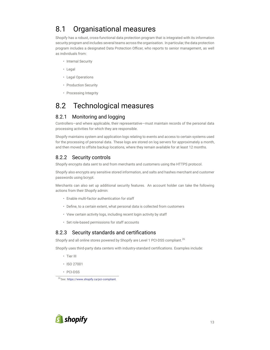### 8.1 Organisational measures

Shopify has a robust, cross-functional data protection program that is integrated with its information security program and includes several teams across the organisation. In particular, the data protection program includes a designated Data Protection Officer, who reports to senior management, as well as individuals from:

- Internal Security
- Legal
- Legal Operations
- Production Security
- Processing Integrity

### <span id="page-13-0"></span>8.2 Technological measures

#### <span id="page-13-1"></span>8.2.1 Monitoring and logging

Controllers—and where applicable, their representative—must maintain records of the personal data processing activities for which they are responsible.

Shopify maintains system and application logs relating to events and access to certain systems used for the processing of personal data. These logs are stored on log servers for approximately a month, and then moved to offsite backup locations, where they remain available for at least 12 months.

#### <span id="page-13-2"></span>8.2.2 Security controls

Shopify encrypts data sent to and from merchants and customers using the HTTPS protocol.

Shopify also encrypts any sensitive stored information, and salts and hashes merchant and customer passwords using bcrypt.

Merchants can also set up additional security features. An account holder can take the following actions from their Shopify admin:

- Enable multi-factor authentication for staff
- Define, to a certain extent, what personal data is collected from customers
- View certain activity logs, including recent login activity by staff
- Set role-based permissions for staff accounts

#### <span id="page-13-3"></span>8.2.3 Security standards and certifications

Shopify and all online stores powered by Shopify are Level 1 PCI-DSS compliant.<sup>26</sup>

Shopify uses third-party data centers with industry-standard certifications. Examples include:

- Tier III
- ISO 27001
- PCI-DSS

<span id="page-13-4"></span><sup>26</sup>See: [https://www.shopify.ca/pci-compliant.](https://www.shopify.ca/pci-compliant)